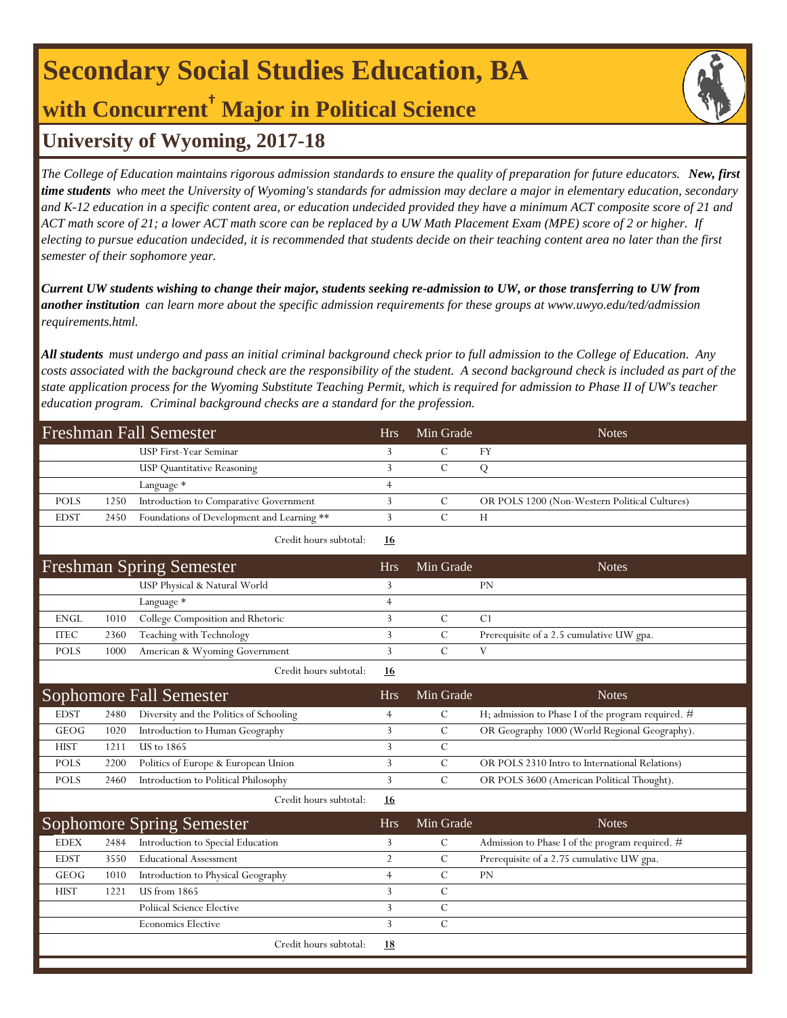# **Secondary Social Studies Education, BA**

## **with Concurrent† Major in Political Science**

## **University of Wyoming, 2017-18**

*The College of Education maintains rigorous admission standards to ensure the quality of preparation for future educators. New, first time students who meet the University of Wyoming's standards for admission may declare a major in elementary education, secondary and K-12 education in a specific content area, or education undecided provided they have a minimum ACT composite score of 21 and ACT math score of 21; a lower ACT math score can be replaced by a UW Math Placement Exam (MPE) score of 2 or higher. If electing to pursue education undecided, it is recommended that students decide on their teaching content area no later than the first semester of their sophomore year.*

*Current UW students wishing to change their major, students seeking re-admission to UW, or those transferring to UW from another institution can learn more about the specific admission requirements for these groups at www.uwyo.edu/ted/admission requirements.html.* 

*All students must undergo and pass an initial criminal background check prior to full admission to the College of Education. Any costs associated with the background check are the responsibility of the student. A second background check is included as part of the state application process for the Wyoming Substitute Teaching Permit, which is required for admission to Phase II of UW's teacher education program. Criminal background checks are a standard for the profession.*

| <b>Freshman Fall Semester</b> |      |                                            |                | Min Grade      | <b>Notes</b>                                       |
|-------------------------------|------|--------------------------------------------|----------------|----------------|----------------------------------------------------|
|                               |      | USP First-Year Seminar                     | 3              | C              | FY                                                 |
|                               |      | <b>USP</b> Quantitative Reasoning          | 3              | $\mathcal{C}$  | Q                                                  |
|                               |      | Language *                                 | $\overline{4}$ |                |                                                    |
| <b>POLS</b>                   | 1250 | Introduction to Comparative Government     | 3              | $\mathcal{C}$  | OR POLS 1200 (Non-Western Political Cultures)      |
| <b>EDST</b>                   | 2450 | Foundations of Development and Learning ** | 3              | $\overline{C}$ | H                                                  |
|                               |      | Credit hours subtotal:                     | <u>16</u>      |                |                                                    |
|                               |      | <b>Freshman Spring Semester</b>            | <b>Hrs</b>     | Min Grade      | <b>Notes</b>                                       |
|                               |      | USP Physical & Natural World               | 3              |                | <b>PN</b>                                          |
|                               |      | Language *                                 | $\overline{4}$ |                |                                                    |
| <b>ENGL</b>                   | 1010 | College Composition and Rhetoric           | 3              | $\mathcal{C}$  | C <sub>1</sub>                                     |
| <b>ITEC</b>                   | 2360 | Teaching with Technology                   | 3              | $\overline{C}$ | Prerequisite of a 2.5 cumulative UW gpa.           |
| <b>POLS</b>                   | 1000 | American & Wyoming Government              | 3              | $\mathcal{C}$  | V                                                  |
|                               |      | Credit hours subtotal:                     | 16             |                |                                                    |
|                               |      | <b>Sophomore Fall Semester</b>             | <b>Hrs</b>     | Min Grade      | <b>Notes</b>                                       |
| <b>EDST</b>                   | 2480 | Diversity and the Politics of Schooling    | $\overline{4}$ | $\mathbf C$    | H; admission to Phase I of the program required. # |
| <b>GEOG</b>                   | 1020 | Introduction to Human Geography            | 3              | $\mathcal{C}$  | OR Geography 1000 (World Regional Geography).      |
| <b>HIST</b>                   | 1211 | <b>US</b> to 1865                          | 3              | $\mathcal{C}$  |                                                    |
| <b>POLS</b>                   | 2200 | Politics of Europe & European Union        | 3              | $\mathcal{C}$  | OR POLS 2310 Intro to International Relations)     |
| <b>POLS</b>                   | 2460 | Introduction to Political Philosophy       | 3              | $\overline{C}$ | OR POLS 3600 (American Political Thought).         |
|                               |      | Credit hours subtotal:                     | <u>16</u>      |                |                                                    |
|                               |      | <b>Sophomore Spring Semester</b>           | <b>Hrs</b>     | Min Grade      | <b>Notes</b>                                       |
| <b>EDEX</b>                   | 2484 | Introduction to Special Education          | 3              | $\mathcal{C}$  | Admission to Phase I of the program required. #    |
| <b>EDST</b>                   | 3550 | <b>Educational Assessment</b>              | 2              | C              | Prerequisite of a 2.75 cumulative UW gpa.          |
| <b>GEOG</b>                   | 1010 | Introduction to Physical Geography         | $\overline{4}$ | $\overline{C}$ | <b>PN</b>                                          |
| <b>HIST</b>                   | 1221 | <b>US</b> from 1865                        | 3              | C              |                                                    |
|                               |      | <b>Poliical Science Elective</b>           | 3              | $\mathcal{C}$  |                                                    |
|                               |      | <b>Economics Elective</b>                  | 3              | $\overline{C}$ |                                                    |
|                               |      | Credit hours subtotal:                     | <u>18</u>      |                |                                                    |
|                               |      |                                            |                |                |                                                    |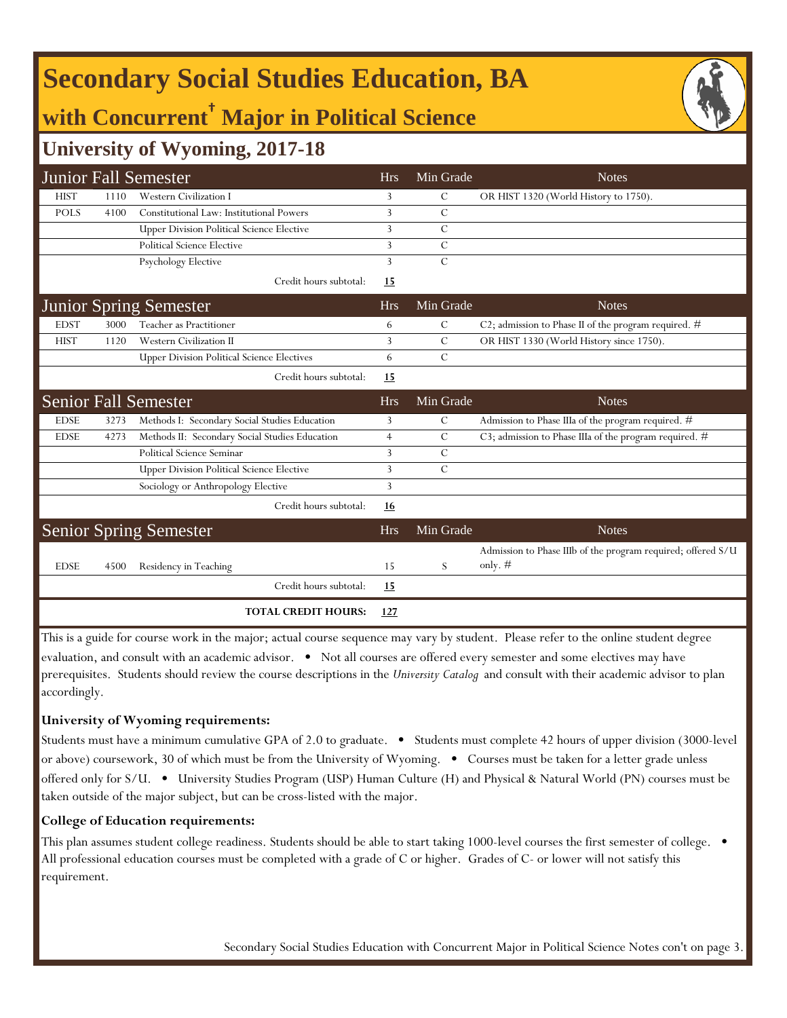## **Secondary Social Studies Education, BA**

## **with Concurrent† Major in Political Science**

### **University of Wyoming, 2017-18**

|             |      | <b>Junior Fall Semester</b>                       | <b>Hrs</b>     | Min Grade     | <b>Notes</b>                                                              |
|-------------|------|---------------------------------------------------|----------------|---------------|---------------------------------------------------------------------------|
| <b>HIST</b> | 1110 | <b>Western Civilization I</b>                     | 3              | С             | OR HIST 1320 (World History to 1750).                                     |
| <b>POLS</b> | 4100 | Constitutional Law: Institutional Powers          | 3              | $\mathcal{C}$ |                                                                           |
|             |      | <b>Upper Division Political Science Elective</b>  | 3              | C             |                                                                           |
|             |      | <b>Political Science Elective</b>                 | 3              | C             |                                                                           |
|             |      | Psychology Elective                               | 3              | $\mathcal{C}$ |                                                                           |
|             |      | Credit hours subtotal:                            | <u>15</u>      |               |                                                                           |
|             |      | <b>Junior Spring Semester</b>                     | <b>Hrs</b>     | Min Grade     | <b>Notes</b>                                                              |
| <b>EDST</b> | 3000 | Teacher as Practitioner                           | 6              | C             | C2; admission to Phase II of the program required. #                      |
| <b>HIST</b> | 1120 | <b>Western Civilization II</b>                    | 3              | $\mathcal{C}$ | OR HIST 1330 (World History since 1750).                                  |
|             |      | <b>Upper Division Political Science Electives</b> | 6              | $\mathcal{C}$ |                                                                           |
|             |      | Credit hours subtotal:                            | 15             |               |                                                                           |
|             |      | <b>Senior Fall Semester</b>                       | <b>Hrs</b>     | Min Grade     | <b>Notes</b>                                                              |
| <b>EDSE</b> | 3273 | Methods I: Secondary Social Studies Education     | 3              | $\mathcal{C}$ | Admission to Phase IIIa of the program required. #                        |
| <b>EDSE</b> | 4273 | Methods II: Secondary Social Studies Education    | $\overline{4}$ | C             | C3; admission to Phase IIIa of the program required. #                    |
|             |      | Political Science Seminar                         | 3              | C             |                                                                           |
|             |      | <b>Upper Division Political Science Elective</b>  | 3              | $\mathcal{C}$ |                                                                           |
|             |      | Sociology or Anthropology Elective                | 3              |               |                                                                           |
|             |      | Credit hours subtotal:                            | 16             |               |                                                                           |
|             |      | <b>Senior Spring Semester</b>                     | <b>Hrs</b>     | Min Grade     | <b>Notes</b>                                                              |
| <b>EDSE</b> | 4500 | Residency in Teaching                             | 15             | S             | Admission to Phase IIIb of the program required; offered S/U<br>only. $#$ |
|             |      | Credit hours subtotal:                            | 15             |               |                                                                           |
|             |      | <b>TOTAL CREDIT HOURS:</b>                        | 127            |               |                                                                           |

This is a guide for course work in the major; actual course sequence may vary by student. Please refer to the online student degree evaluation, and consult with an academic advisor. • Not all courses are offered every semester and some electives may have prerequisites. Students should review the course descriptions in the *University Catalog* and consult with their academic advisor to plan accordingly.

#### **University of Wyoming requirements:**

Students must have a minimum cumulative GPA of 2.0 to graduate. • Students must complete 42 hours of upper division (3000-level or above) coursework, 30 of which must be from the University of Wyoming. • Courses must be taken for a letter grade unless offered only for S/U. • University Studies Program (USP) Human Culture (H) and Physical & Natural World (PN) courses must be taken outside of the major subject, but can be cross-listed with the major.

#### **College of Education requirements:**

This plan assumes student college readiness. Students should be able to start taking 1000-level courses the first semester of college. All professional education courses must be completed with a grade of C or higher. Grades of C- or lower will not satisfy this requirement.